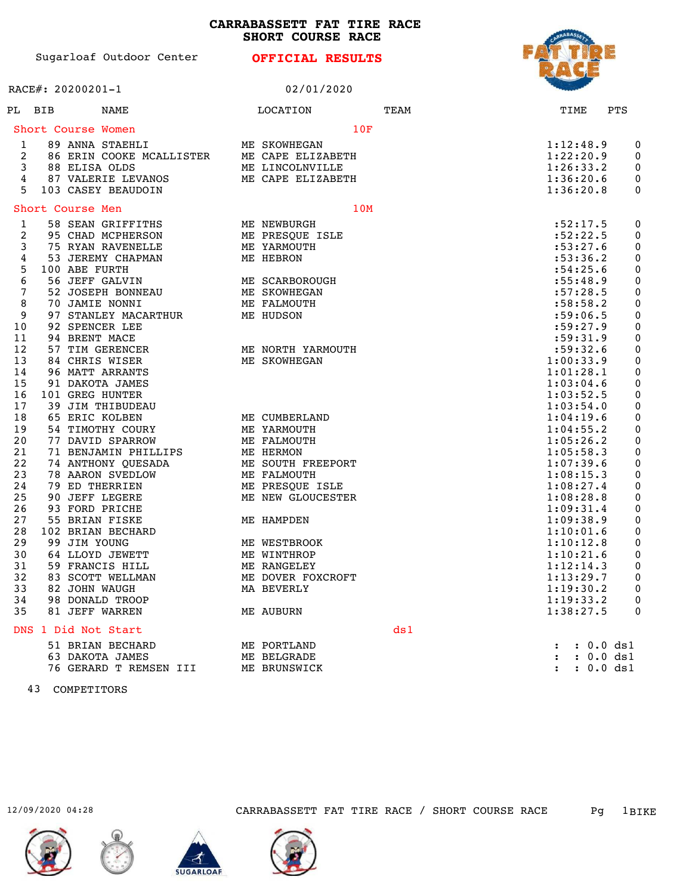**CARRABASSETT FAT TIRE RACE SHORT COURSE RACE**

| Sugarloaf Outdoor Center |  |  |
|--------------------------|--|--|

**OFFICIAL RESULTS**

|                                                                                                                                                                                     | RACE#: 20200201-1                                                                                                                                                                                                                                                                                                                                                                                                                                                                                                                                                                                                                                        |              | 02/01/2020                                                                                                                                                                                                                                                                                                                                                                             |     |      |      |                                                                                                                                                                                                                                                                                                                                                                                                                   |                                     |                                                                                                                                                                                                                                                                  |
|-------------------------------------------------------------------------------------------------------------------------------------------------------------------------------------|----------------------------------------------------------------------------------------------------------------------------------------------------------------------------------------------------------------------------------------------------------------------------------------------------------------------------------------------------------------------------------------------------------------------------------------------------------------------------------------------------------------------------------------------------------------------------------------------------------------------------------------------------------|--------------|----------------------------------------------------------------------------------------------------------------------------------------------------------------------------------------------------------------------------------------------------------------------------------------------------------------------------------------------------------------------------------------|-----|------|------|-------------------------------------------------------------------------------------------------------------------------------------------------------------------------------------------------------------------------------------------------------------------------------------------------------------------------------------------------------------------------------------------------------------------|-------------------------------------|------------------------------------------------------------------------------------------------------------------------------------------------------------------------------------------------------------------------------------------------------------------|
| PL BIB                                                                                                                                                                              | NAME                                                                                                                                                                                                                                                                                                                                                                                                                                                                                                                                                                                                                                                     |              | LOCATION                                                                                                                                                                                                                                                                                                                                                                               |     | TEAM | TIME |                                                                                                                                                                                                                                                                                                                                                                                                                   | PTS                                 |                                                                                                                                                                                                                                                                  |
|                                                                                                                                                                                     | Short Course Women                                                                                                                                                                                                                                                                                                                                                                                                                                                                                                                                                                                                                                       |              |                                                                                                                                                                                                                                                                                                                                                                                        | 10F |      |      |                                                                                                                                                                                                                                                                                                                                                                                                                   |                                     |                                                                                                                                                                                                                                                                  |
| 1<br>2<br>3<br>4<br>5                                                                                                                                                               | 89 ANNA STAEHLI<br>86 ERIN COOKE MCALLISTER<br>88 ELISA OLDS<br>87 VALERIE LEVANOS<br>103 CASEY BEAUDOIN                                                                                                                                                                                                                                                                                                                                                                                                                                                                                                                                                 | ME SKOWHEGAN | ME CAPE ELIZABETH<br>ME LINCOLNVILLE<br>ME CAPE ELIZABETH                                                                                                                                                                                                                                                                                                                              |     |      |      | 1:12:48.9<br>1:22:20.9<br>1:26:33.2<br>1:36:20.6<br>1:36:20.8                                                                                                                                                                                                                                                                                                                                                     |                                     | 0<br>0<br>$\boldsymbol{0}$<br>0<br>0                                                                                                                                                                                                                             |
|                                                                                                                                                                                     | Short Course Men                                                                                                                                                                                                                                                                                                                                                                                                                                                                                                                                                                                                                                         |              |                                                                                                                                                                                                                                                                                                                                                                                        | 10M |      |      |                                                                                                                                                                                                                                                                                                                                                                                                                   |                                     |                                                                                                                                                                                                                                                                  |
| 1<br>2<br>3<br>4<br>5<br>6<br>7<br>8<br>9<br>10<br>11<br>12<br>13<br>14<br>15<br>16<br>17<br>18<br>19<br>20<br>21<br>22<br>23<br>24<br>25<br>26<br>27<br>28<br>29<br>30<br>31<br>32 | 58 SEAN GRIFFITHS<br>95 CHAD MCPHERSON<br>75 RYAN RAVENELLE<br>53 JEREMY CHAPMAN<br>100 ABE FURTH<br>56 JEFF GALVIN<br>52 JOSEPH BONNEAU<br>70 JAMIE NONNI<br>97 STANLEY MACARTHUR<br>92 SPENCER LEE<br>94 BRENT MACE<br>57 TIM GERENCER<br>84 CHRIS WISER<br>96 MATT ARRANTS<br>91 DAKOTA JAMES<br>101 GREG HUNTER<br><b>39 JIM THIBUDEAU</b><br>65 ERIC KOLBEN<br>54 TIMOTHY COURY<br>77 DAVID SPARROW<br>71 BENJAMIN PHILLIPS<br>74 ANTHONY QUESADA<br><b>78 AARON SVEDLOW</b><br>79 ED THERRIEN<br>90 JEFF LEGERE<br>93 FORD PRICHE<br>55 BRIAN FISKE<br>102 BRIAN BECHARD<br>99 JIM YOUNG<br>64 LLOYD JEWETT<br>59 FRANCIS HILL<br>83 SCOTT WELLMAN |              | ME NEWBURGH<br>ME PRESQUE ISLE<br>ME YARMOUTH<br>ME HEBRON<br>ME SCARBOROUGH<br>ME SKOWHEGAN<br>ME FALMOUTH<br>ME HUDSON<br>ME NORTH YARMOUTH<br>ME SKOWHEGAN<br>ME CUMBERLAND<br>ME YARMOUTH<br>ME FALMOUTH<br>ME HERMON<br>ME SOUTH FREEPORT<br>ME FALMOUTH<br>ME PRESQUE ISLE<br>ME NEW GLOUCESTER<br>ME HAMPDEN<br>ME WESTBROOK<br>ME WINTHROP<br>ME RANGELEY<br>ME DOVER FOXCROFT |     |      |      | :52:17.5<br>:52:22.5<br>:53:27.6<br>: 53:36.2<br>:54:25.6<br>:55:48.9<br>:57:28.5<br>:58:58.2<br>:59:06.5<br>:59:27.9<br>:59:31.9<br>:59:32.6<br>1:00:33.9<br>1:01:28.1<br>1:03:04.6<br>1:03:52.5<br>1:03:54.0<br>1:04:19.6<br>1:04:55.2<br>1:05:26.2<br>1:05:58.3<br>1:07:39.6<br>1:08:15.3<br>1:08:27.4<br>1:08:28.8<br>1:09:31.4<br>1:09:38.9<br>1:10:01.6<br>1:10:12.8<br>1:10:21.6<br>1:12:14.3<br>1:13:29.7 |                                     | 0<br>0<br>0<br>0<br>0<br>0<br>0<br>$\pmb{0}$<br>0<br>0<br>$\pmb{0}$<br>0<br>0<br>0<br>$\boldsymbol{0}$<br>$\pmb{0}$<br>0<br>$\boldsymbol{0}$<br>0<br>0<br>$\pmb{0}$<br>0<br>0<br>$\boldsymbol{0}$<br>0<br>0<br>$\pmb{0}$<br>$\boldsymbol{0}$<br>0<br>0<br>0<br>0 |
| 33<br>34<br>35                                                                                                                                                                      | 82 JOHN WAUGH<br>98 DONALD TROOP<br>81 JEFF WARREN                                                                                                                                                                                                                                                                                                                                                                                                                                                                                                                                                                                                       |              | MA BEVERLY<br>ME AUBURN                                                                                                                                                                                                                                                                                                                                                                |     |      |      | 1:19:30.2<br>1:19:33.2<br>1:38:27.5                                                                                                                                                                                                                                                                                                                                                                               |                                     | $\mathbf 0$<br>0<br>0                                                                                                                                                                                                                                            |
|                                                                                                                                                                                     | DNS 1 Did Not Start                                                                                                                                                                                                                                                                                                                                                                                                                                                                                                                                                                                                                                      |              |                                                                                                                                                                                                                                                                                                                                                                                        |     | ds1  |      |                                                                                                                                                                                                                                                                                                                                                                                                                   |                                     |                                                                                                                                                                                                                                                                  |
|                                                                                                                                                                                     | 51 BRIAN BECHARD<br>63 DAKOTA JAMES<br>76 GERARD T REMSEN III                                                                                                                                                                                                                                                                                                                                                                                                                                                                                                                                                                                            |              | ME PORTLAND<br>ME BELGRADE<br>ME BRUNSWICK                                                                                                                                                                                                                                                                                                                                             |     |      |      |                                                                                                                                                                                                                                                                                                                                                                                                                   | : 0.0 ds1<br>: 0.0 ds1<br>: 0.0 ds1 |                                                                                                                                                                                                                                                                  |

43 COMPETITORS







12/09/2020 04:28 CARRABASSETT FAT TIRE RACE / SHORT COURSE RACE Pg 1BIKE